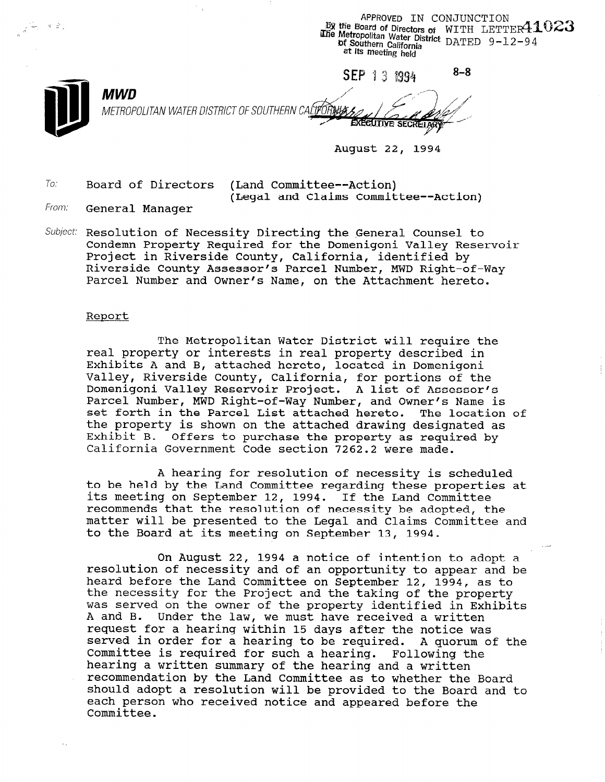APPROVED IN CONJUNCTION **The Metropolitan Water District DATED**  $9-12-94$ **bf** Southern California<br>at its meeting held

 $8 - 8$ SEP 13 1994 **MWD** METROPOLITAN WATER DISTRICT OF SOUTHERN CALIFORNIA **EXECUTIVE SECRETA** 

August 22, 1994

To. Board of Directors (Land Committee--Action) (Legal and Claims Committee--Action)

From: **General Manager** 

- 1 L ,

Subject: Resolution of Necessity Directing the General Counsel to Condemn Property Required for the Domenigoni Valley Reservoir Project in Riverside County, California, identified by Riverside County Assessor's Parcel Number, MWD Right-of-Way Parcel Number and Owner's Name, on the Attachment hereto.

#### Report

The Metropolitan Water District will require the real property or interests in real property described in Exhibits A and B, attached hereto, located in Domenigoni Valley, Riverside County, California, for portions of the Domenigoni Valley Reservoir Project. A list of Assessor's Parcel Number, MWD Right-of-Way Number, and Owner's Name is set forth in the Parcel List attached hereto. The location of the property is shown on the attached drawing designated as Exhibit B. Offers to purchase the property as required by California Government Code section 7262.2 were made.

A hearing for resolution of necessity is scheduled to be held by the Land Committee properties at hear properties at its meeting on September 12, 1994. If the Land Committee its meeting on September 12, 1994. If the Land Committee<br>recommends that the resolution of necessity be adopted, the matter will be presented to the Legal and Claims Committee and to the Board at its meeting on Contember 13, 1994.

On August 22, 1994 a notice of intention to adopt a resolution of necessity and of an opportunity to appear and be heavid committee on the Land Committee on September 12, 1994, and the Land Committee on September 12, 1994, as to the Committee on September 12, 1994, and Committee on September 12, 1994, and Committee on September 12, 199 heard before the Land Committee on September 12, 1994, as to the necessity for the Project and the taking of the property was served on the owner of the property identified in Exhibits<br>A and B. Under the law, we must have received a written Under the law, we must have received a written request for a hearing within 15 days after the notice was served in order for a hearing to be required. A quorum of the Committee is required for such a hearing. Following the hearing a written summary of the hearing and a written recommendation by the Land Committee as to whether the Board should adopt a resolution will be provided to the Board and to each person who received notice and appeared before the<br>Committee.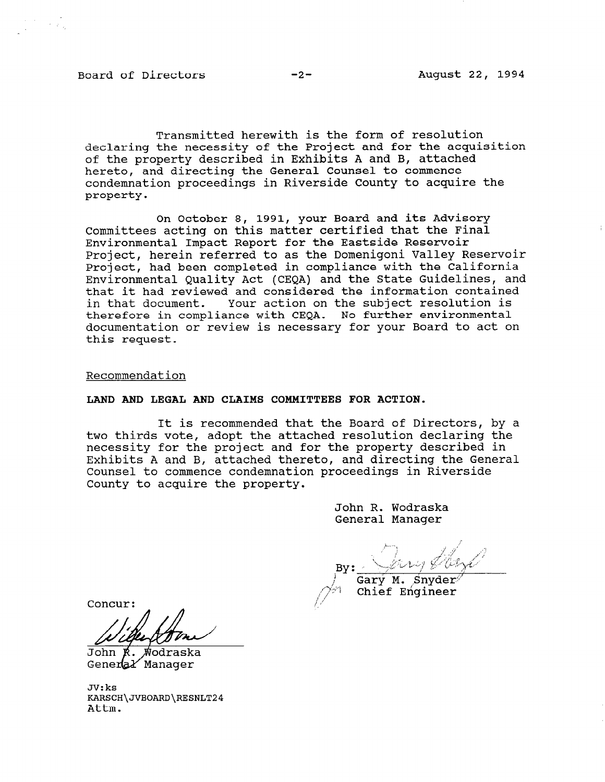Board of Directors -2- August 22, 1994

a I.

Transmitted herewith is the form of resolution declaring the necessity of the Project and for the acquisition of the property described in Exhibits A and B, attached hereto, and directing the General Counsel to commence condemnation proceedings in Riverside County to acquire the property.

On October 8, 1991, your Board and its Advisory Committees acting on this matter certified that the Final Environmental Impact Report for the Eastside Reservoir Project, herein referred to as the Domenigoni Valley Reservoir Project, had been completed in compliance with the California Environmental Quality Act (CEQA) and the State Guidelines, and that it had reviewed and considered the information contained in that document. Your action on the subject resolution is therefore in compliance with CEQA. No further environmental documentation or review is necessary for your Board to act on this request.

Recommendation

## LAND AND LEGAL AND CLAIMS COMMITTEES FOR ACTION.

It is recommended that the Board of Directors, by a two thirds vote, adopt the attached resolution declaring the necessity for the project and for the property described in Exhibits A and B, attached thereto, and directing the General Counsel to commence condemnation proceedings in Riverside County to acquire the property.

> John R. Wodraska General Manager

Gary M. Snyder Chief Engineer

Concur:

John K. Wodraska<br>General Manager

JV:ks  $\Delta\Lambda$ KARS(<br>-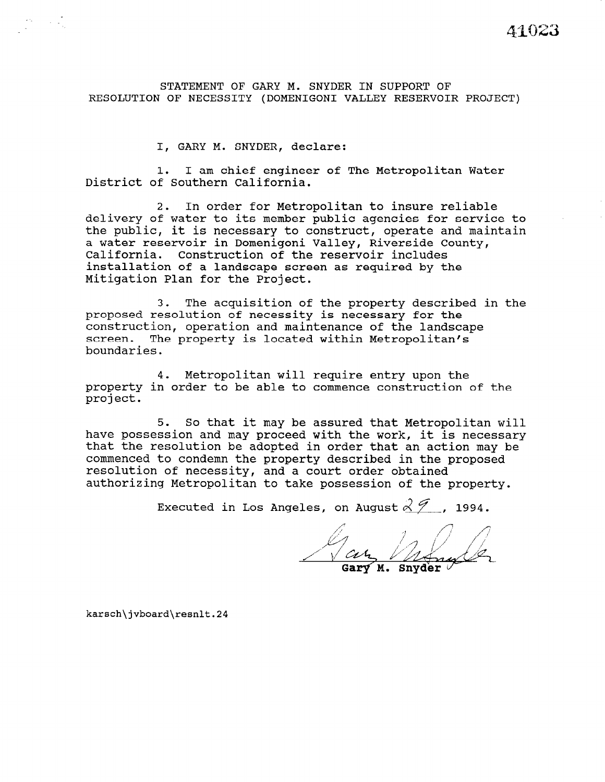STATEMENT OF GARY M. SNYDER IN SUPPORT OF RESOLUTION OF NECESSITY (DOMENIGONI VALLEY RESERVOIR PROJECT)

I, GARY M. SNYDER, declare:

1. I am chief engineer of The Metropolitan Water District of Southern California.

2. In order for Metropolitan to insure reliable delivery of water to its member public agencies for service to the public, it is necessary to construct, operate and maintain a water reservoir in Domenigoni Valley, Riverside County, California. Construction of the reservoir includes installation of a landscape screen as required by the Mitigation Plan for the Project.

3. The acquisition of the property described in the proposed resolution of necessity is necessary for the construction, operation and maintenance of the landscape screen. The property is located within Metropolitan's boundaries.

4. Metropolitan will require entry upon the property in order to be able to commence construction of the project.

5. So that it may be assured that Metropolitan will have possession and may proceed with the work, it is necessary that the resolution be adopted in order that an action may be commenced to condemn the property described in the proposed resolution of necessity, and a court order obtained authorizing Metropolitan to take possession of the property.

Executed in Los Angeles, on August  $2\mathcal{I}$  , 1994.

Gary Mongoler

karsch\jvboard\resnlt.24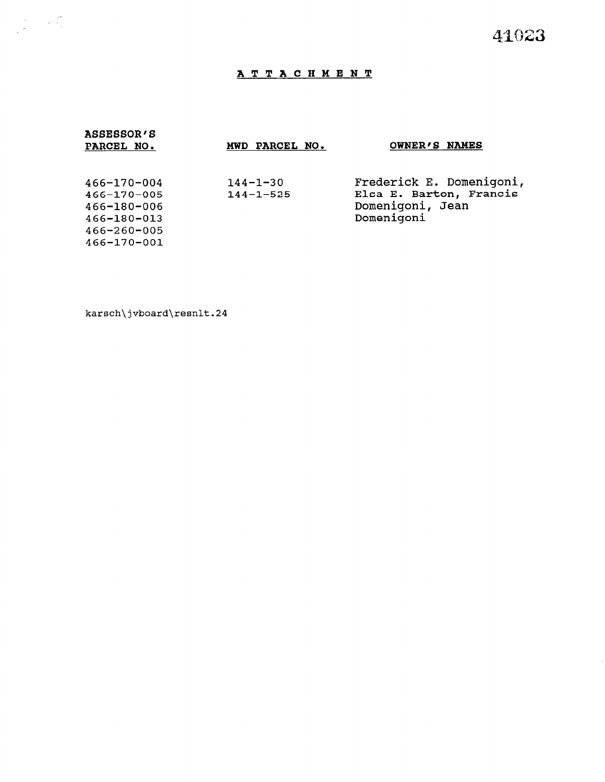# ATTACHMENT

| <b>ASSESSOR'S</b><br>PARCEL NO.                                                                    | MWD PARCEL NO.                    | OWNER'S NAMES                                                                         |
|----------------------------------------------------------------------------------------------------|-----------------------------------|---------------------------------------------------------------------------------------|
| $466 - 170 - 004$<br>$466 - 170 - 005$<br>466-180-006<br>466-180-013<br>466-260-005<br>466-170-001 | $144 - 1 - 30$<br>$144 - 1 - 525$ | Frederick E. Domenigoni,<br>Elsa E. Barton, Francis<br>Domenigoni, Jean<br>Domenigoni |

karsch\jvboard\resnlt.24

 $\label{eq:R1} \begin{split} \mathcal{P}^{(1)}(z) &= \mathcal{P}^{(2)}(z)\\ &= \mathcal{P}^{(1)}(z)\\ &= \mathcal{P}^{(2)}(z)\\ &= \mathcal{P}^{(1)}(z)\\ &= \mathcal{P}^{(2)}(z)\\ &= \mathcal{P}^{(1)}(z)\\ &= \mathcal{P}^{(1)}(z)\\ &= \mathcal{P}^{(2)}(z)\\ &= \mathcal{P}^{(1)}(z)\\ &= \mathcal{P}^{(1)}(z)\\ &= \mathcal{P}^{(1)}(z)\\ &= \mathcal{P}^{(1)}(z)\\ &= \mathcal{P}^{(1)}(z)$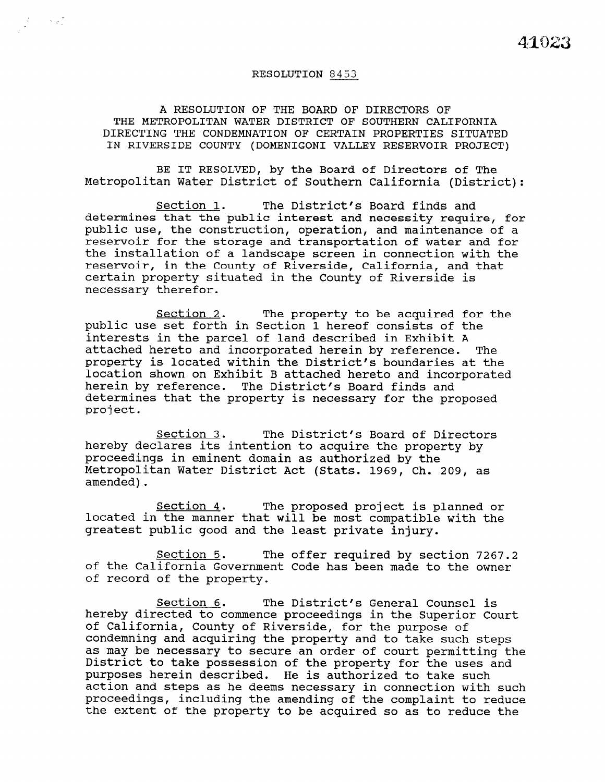### RESOLUTION 8453

A RESOLUTION OF THE BOARD OF DIRECTORS OF THE METROPOLITAN WATER DISTRICT OF SOUTHERN CALIFORNIA DIRECTING THE CONDEMNATION OF CERTAIN PROPERTIES SITUATED IN RIVERSIDE COUNTY (DOMENIGONI VALLEY RESERVOIR PROJECT)

BE IT RESOLVED, by the Board of Directors of The Metropolitan Water District of Southern California (District):

Section 1. The District's Board finds and determines that the public interest and necessity require, for public use, the construction, operation, and maintenance of a reservoir for the storage and transportation of water and for the installation of a landscape screen in connection with the reservoir, in the County of Riverside, California, and that certain property situated in the County of Riverside is necessary therefor.

Section 2. The property to be acquired for the public use set forth in Section 1 hereof consists of the interests in the parcel of land described in Exhibit A attached hereto and incorporated herein by reference. The property is located within the District's boundaries at the location shown on Exhibit B attached hereto and incorporated herein by reference. The District's Board finds and determines that the property is necessary for the proposed project.

Section 3. The District's Board of Directors hereby declares its intention to acquire the property by proceedings in eminent domain as authorized by the Metropolitan Water District Act (Stats. 1969, Ch. 209, as amended).

Section 4. The proposed project is planned or located in the manner that will be most compatible with the greatest public good and the least private injury.

Section 5. The offer required by section 7267.2 <u>section 5</u>. The Offer required by Section 7267. of the carriornia Govern

Section 6. The District's General Counsel is <u>bection 6</u>. The District's General Counsel is in the Superior Court of the Superior Court of the Superior Court o nereby affected to commence proceedings in the superio of California, County of Riverside, for the purpose of condemning and acquiring the property and to take such steps as may be necessary to secure an order of court permitting the District to take possession of the property for the uses and purposes herein described. He is authorized to take such action and steps as he deems necessary in connection with such proceedings, including the amending of the complaint to reduce the extent of the property to be acquired so as to reduce the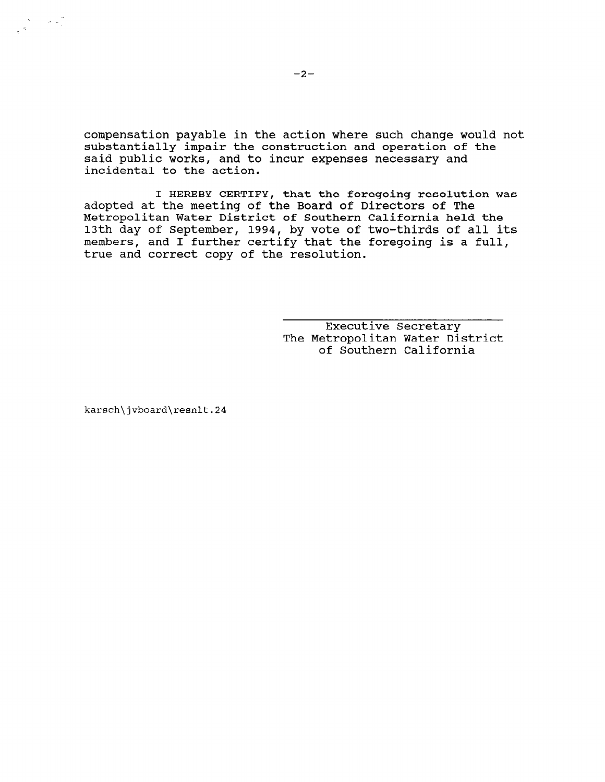compensation payable in the action where such change would not substantially impair the construction and operation of the said public works, and to incur expenses necessary and incidental to the action.

I HEREBY CERTIFY, that the foregoing resolution was adopted at the meeting of the Board of Directors of The Metropolitan Water District of Southern California held the 13th day of September, 1994, by vote of two-thirds of all its members, and I further certify that the foregoing is a full, true and correct copy of the resolution.

> Executive Secretary The Metropolitan Water District of Southern California

karsch\jvboard\resnlt.24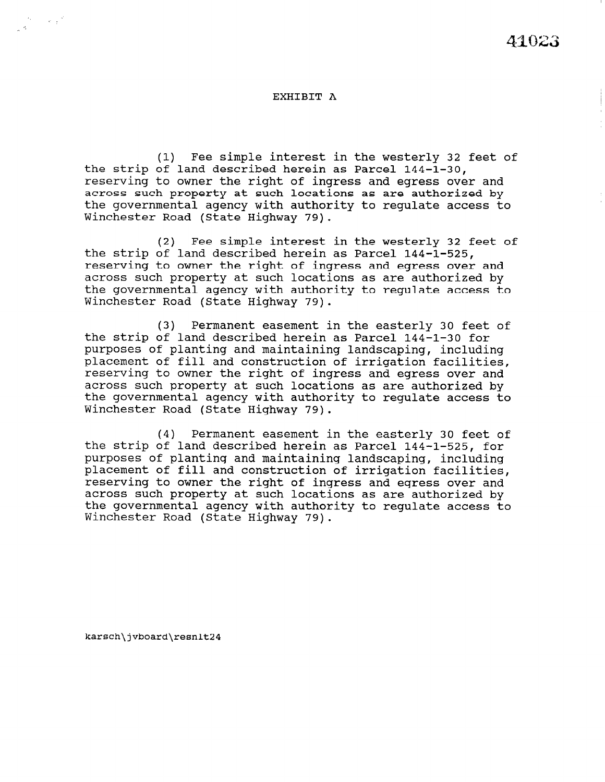#### EXHIBIT A

(1) Fee simple interest in the westerly 32 feet of the strip of land described herein as Parcel 144-l-30, reserving to owner the right of ingress and egress over and across such property at such locations as are authorized by the governmental agency with authority to regulate access to Winchester Road (State Highway 79).

(2) Fee simple interest in the westerly 32 feet of the strip of land described herein as Parcel 144-1-525, reserving to owner the right of ingress and egress over and across such property at such locations as are authorized by the governmental agency with authority to regulate access to Winchester Road (State Highway 79).

(3) Permanent easement in the easterly 30 feet of the strip of land described herein as Parcel 144-l-30 for purposes of planting and maintaining landscaping, including placement of fill and construction of irrigation facilities, reserving to owner the right of ingress and egress over and across such property at such locations as are authorized by the governmental agency with authority to regulate access to Winchester Road (State Highway 79).

(4) Permanent easement in the easterly 30 feet of the strip of land described herein as Parcel 144-1-525, for purposes of planting and maintaining landscaping, including purposes or prancing and maintaining randscaping, included procement of fift and construction of infligation identifies reserving to owner the right of ingress and egress over and<br>covers such property at such locations as and outhorized by across such property at such focations as are authorized by the governmental agency with authority to regulate access to<br>Winchester Road (State Highway 79).

karsch\jvboard\resnlt24

 $\sim e^{-\frac{2}{3} \beta}$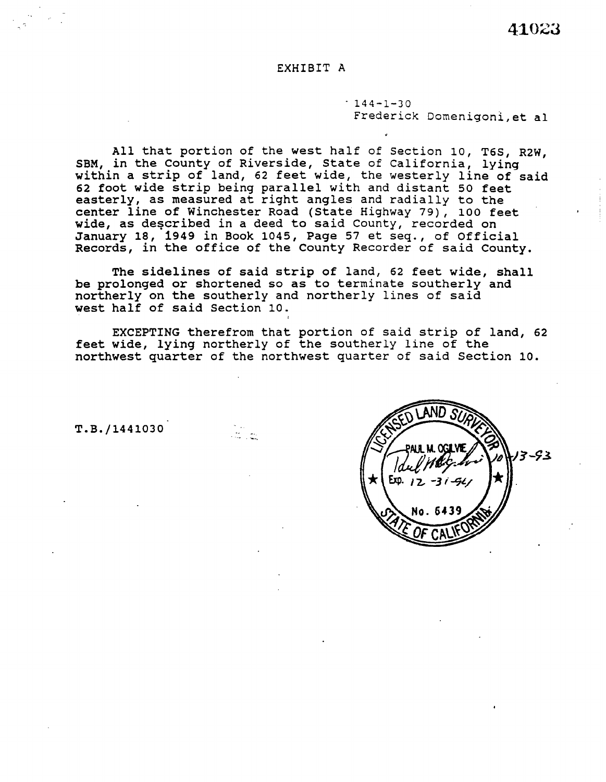## EXHIBIT A

 $-144-1-30$ Frederick Domenigoni,et al

All that portion of the west half of Section 10, T6S, R2W, SBM, in the County of Riverside, State of California, lying within a strip of land, 62 feet wide, the westerly line of said 62 foot wide strip being parallel with and distant 50 feet easterly, as measured at right angles and radially to the center line of Winchester Road (State Highway 79), 100 feet wide, as described in a deed to said County, recorded on January 18, 1949 in Book 1045, Page 57 et seq., of Official Records, in the office of the County Recorder of said County.

The sidelines of said strip of land, 62 feet wide, shall be prolonged or shortened so as to terminate southerly and northerly on the southerly and northerly lines of said west half of said Section 10.

EXCEPTING therefrom that portion of said strip of land, 62 feet wide, lying northerly of the southerly line of the northwest quarter of the northwest quarter of said Section 10.

> . <br>  $\sim$ -- \_\_,

T.B./1441030'

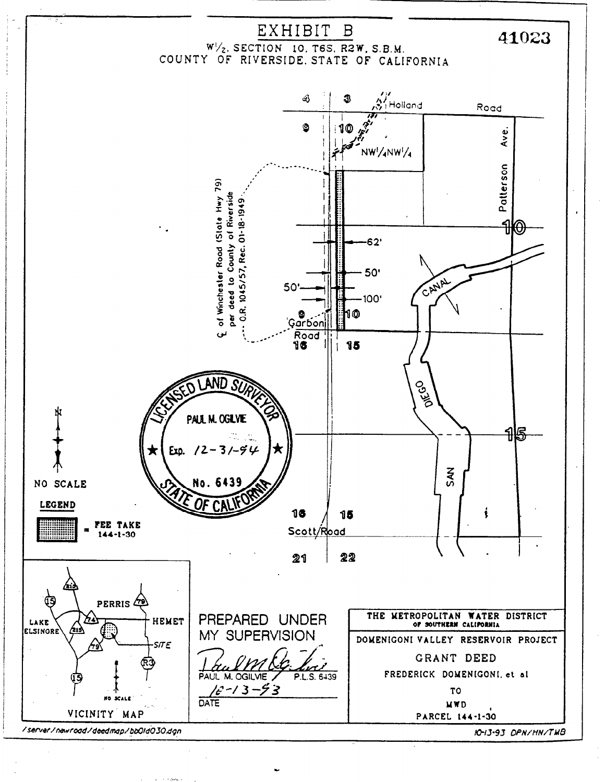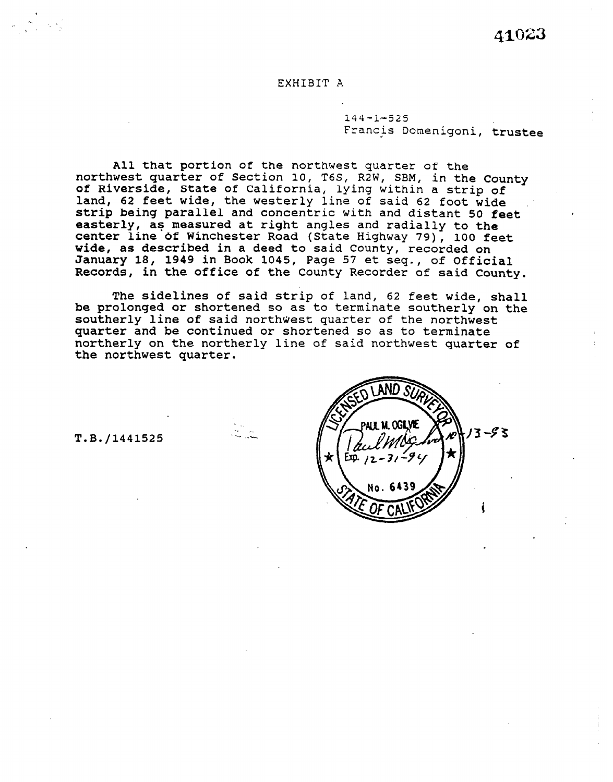41023

# EXHIBIT A

144-1-525 Francis Domenigoni, trustee

All that portion of the northwest quarter of the northwest quarter of Section 10, T6S, R2W, SBM, in the County of Riverside, State of California, lying within a strip of land, 62 feet wide, the westerly line of said 62 foot wide strip being parallel and concentric with and distant 50 feet easterly, as measured at right angles and radially to the center line of Winchester Road (State Highway 79), 100 feet wide, as described in a deed to said County, recorded on January 18, 1949 in Book 1045, Page 57 et seq., of Official Records, in the office of the County Recorder of said County.

The sidelines of said strip of land, 62 feet wide, shall be prolonged or shortened so as to terminate southerly on the southerly line of said northwest quarter of the northwest quarter and be continued or shortened so as to terminate northerly on the northerly line of said northwest quarter of the northwest quarter.

T.B./1441525  $\|\gamma\| \leq \log 25$